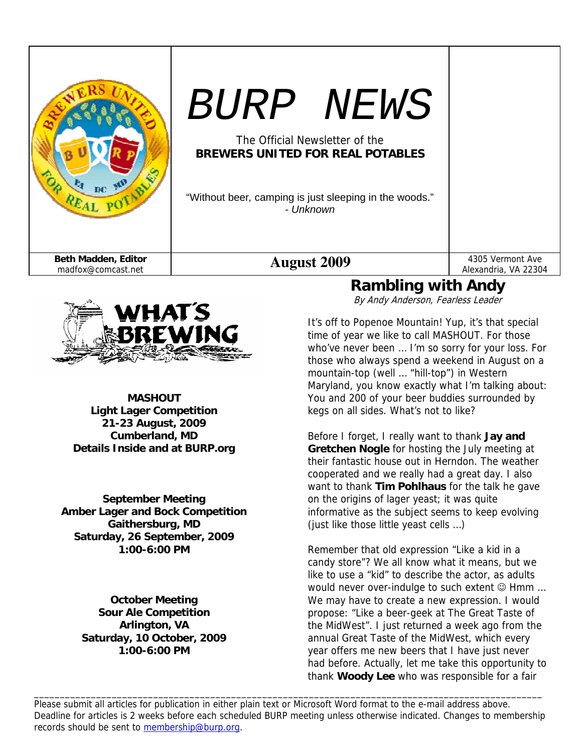| $\mathbf{p} \in \mathcal{D}$              | <i>BURP NEWS</i><br>The Official Newsletter of the<br><b>BREWERS UNITED FOR REAL POTABLES</b><br>"Without beer, camping is just sleeping in the woods."<br>- Unknown |                                                                     |
|-------------------------------------------|----------------------------------------------------------------------------------------------------------------------------------------------------------------------|---------------------------------------------------------------------|
| Beth Madden, Editor<br>madfox@comcast.net | <b>August 2009</b><br>L 1 :                                                                                                                                          | 4305 Vermont Ave<br>Alexandria, VA 22304<br>$LLL$ $\Lambda$ is also |



**MASHOUT Light Lager Competition 21-23 August, 2009 Cumberland, MD Details Inside and at BURP.org** 

**September Meeting Amber Lager and Bock Competition Gaithersburg, MD Saturday, 26 September, 2009 1:00-6:00 PM** 

> **October Meeting Sour Ale Competition Arlington, VA Saturday, 10 October, 2009 1:00-6:00 PM**

# **Rambling with Andy**

By Andy Anderson, Fearless Leader

It's off to Popenoe Mountain! Yup, it's that special time of year we like to call MASHOUT. For those who've never been … I'm so sorry for your loss. For those who always spend a weekend in August on a mountain-top (well … "hill-top") in Western Maryland, you know exactly what I'm talking about: You and 200 of your beer buddies surrounded by kegs on all sides. What's not to like?

Before I forget, I really want to thank **Jay and Gretchen Nogle** for hosting the July meeting at their fantastic house out in Herndon. The weather cooperated and we really had a great day. I also want to thank **Tim Pohlhaus** for the talk he gave on the origins of lager yeast; it was quite informative as the subject seems to keep evolving (just like those little yeast cells …)

Remember that old expression "Like a kid in a candy store"? We all know what it means, but we like to use a "kid" to describe the actor, as adults would never over-indulge to such extent © Hmm ... We may have to create a new expression. I would propose: "Like a beer-geek at The Great Taste of the MidWest". I just returned a week ago from the annual Great Taste of the MidWest, which every year offers me new beers that I have just never had before. Actually, let me take this opportunity to thank **Woody Lee** who was responsible for a fair

Please submit all articles for publication in either plain text or Microsoft Word format to the e-mail address above. Deadline for articles is 2 weeks before each scheduled BURP meeting unless otherwise indicated. Changes to membership records should be sent to membership@burp.org.

\_\_\_\_\_\_\_\_\_\_\_\_\_\_\_\_\_\_\_\_\_\_\_\_\_\_\_\_\_\_\_\_\_\_\_\_\_\_\_\_\_\_\_\_\_\_\_\_\_\_\_\_\_\_\_\_\_\_\_\_\_\_\_\_\_\_\_\_\_\_\_\_\_\_\_\_\_\_\_\_\_\_\_\_\_\_\_\_\_\_\_\_\_\_\_\_\_\_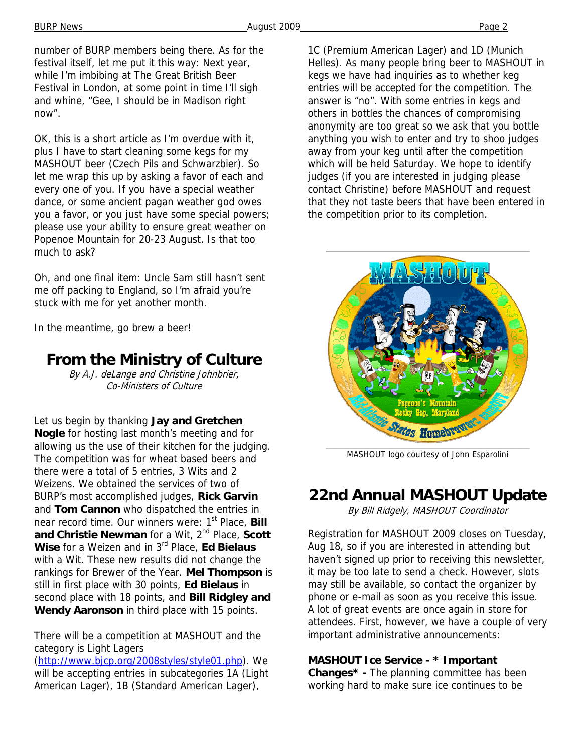number of BURP members being there. As for the festival itself, let me put it this way: Next year, while I'm imbibing at The Great British Beer Festival in London, at some point in time I'll sigh and whine, "Gee, I should be in Madison right now".

OK, this is a short article as I'm overdue with it, plus I have to start cleaning some kegs for my MASHOUT beer (Czech Pils and Schwarzbier). So let me wrap this up by asking a favor of each and every one of you. If you have a special weather dance, or some ancient pagan weather god owes you a favor, or you just have some special powers; please use your ability to ensure great weather on Popenoe Mountain for 20-23 August. Is that too much to ask?

Oh, and one final item: Uncle Sam still hasn't sent me off packing to England, so I'm afraid you're stuck with me for yet another month.

In the meantime, go brew a beer!

# **From the Ministry of Culture**

By A.J. deLange and Christine Johnbrier, Co-Ministers of Culture

Let us begin by thanking **Jay and Gretchen Nogle** for hosting last month's meeting and for allowing us the use of their kitchen for the judging. The competition was for wheat based beers and there were a total of 5 entries, 3 Wits and 2 Weizens. We obtained the services of two of BURP's most accomplished judges, **Rick Garvin** and **Tom Cannon** who dispatched the entries in near record time. Our winners were: 1st Place, **Bill**  and Christie Newman for a Wit, 2<sup>nd</sup> Place, Scott **Wise** for a Weizen and in 3rd Place, **Ed Bielaus** with a Wit. These new results did not change the rankings for Brewer of the Year. **Mel Thompson** is still in first place with 30 points, **Ed Bielaus** in second place with 18 points, and **Bill Ridgley and Wendy Aaronson** in third place with 15 points.

There will be a competition at MASHOUT and the category is Light Lagers

(http://www.bjcp.org/2008styles/style01.php). We will be accepting entries in subcategories 1A (Light American Lager), 1B (Standard American Lager),

1C (Premium American Lager) and 1D (Munich Helles). As many people bring beer to MASHOUT in kegs we have had inquiries as to whether keg entries will be accepted for the competition. The answer is "no". With some entries in kegs and others in bottles the chances of compromising anonymity are too great so we ask that you bottle anything you wish to enter and try to shoo judges away from your keg until after the competition which will be held Saturday. We hope to identify judges (if you are interested in judging please contact Christine) before MASHOUT and request that they not taste beers that have been entered in the competition prior to its completion.



MASHOUT logo courtesy of John Esparolini

## **22nd Annual MASHOUT Update**

By Bill Ridgely, MASHOUT Coordinator

Registration for MASHOUT 2009 closes on Tuesday, Aug 18, so if you are interested in attending but haven't signed up prior to receiving this newsletter, it may be too late to send a check. However, slots may still be available, so contact the organizer by phone or e-mail as soon as you receive this issue. A lot of great events are once again in store for attendees. First, however, we have a couple of very important administrative announcements:

### **MASHOUT Ice Service - \* Important**

**Changes\* -** The planning committee has been working hard to make sure ice continues to be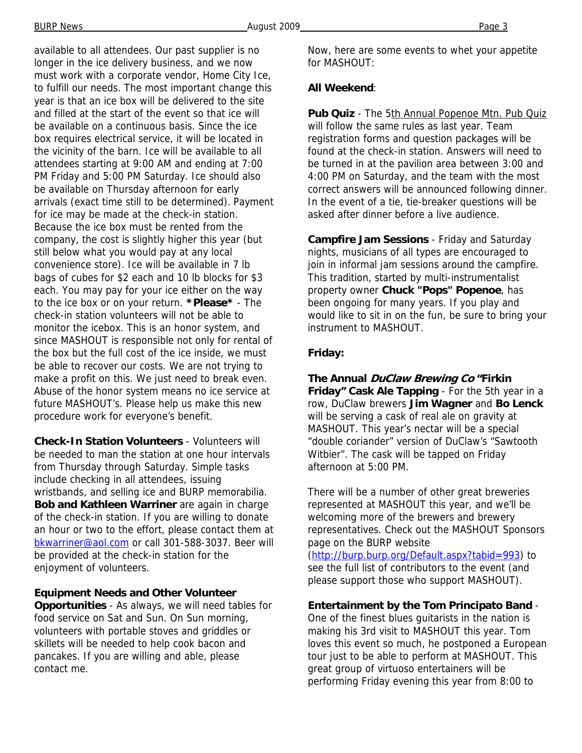available to all attendees. Our past supplier is no longer in the ice delivery business, and we now must work with a corporate vendor, Home City Ice, to fulfill our needs. The most important change this year is that an ice box will be delivered to the site and filled at the start of the event so that ice will be available on a continuous basis. Since the ice box requires electrical service, it will be located in the vicinity of the barn. Ice will be available to all attendees starting at 9:00 AM and ending at 7:00 PM Friday and 5:00 PM Saturday. Ice should also be available on Thursday afternoon for early arrivals (exact time still to be determined). Payment for ice may be made at the check-in station. Because the ice box must be rented from the company, the cost is slightly higher this year (but still below what you would pay at any local convenience store). Ice will be available in 7 lb bags of cubes for \$2 each and 10 lb blocks for \$3 each. You may pay for your ice either on the way to the ice box or on your return. **\*Please\*** - The check-in station volunteers will not be able to monitor the icebox. This is an honor system, and since MASHOUT is responsible not only for rental of the box but the full cost of the ice inside, we must be able to recover our costs. We are not trying to make a profit on this. We just need to break even. Abuse of the honor system means no ice service at future MASHOUT's. Please help us make this new procedure work for everyone's benefit.

**Check-In Station Volunteers** - Volunteers will be needed to man the station at one hour intervals from Thursday through Saturday. Simple tasks include checking in all attendees, issuing wristbands, and selling ice and BURP memorabilia. **Bob and Kathleen Warriner** are again in charge of the check-in station. If you are willing to donate an hour or two to the effort, please contact them at bkwarriner@aol.com or call 301-588-3037. Beer will be provided at the check-in station for the enjoyment of volunteers.

**Equipment Needs and Other Volunteer Opportunities** - As always, we will need tables for food service on Sat and Sun. On Sun morning, volunteers with portable stoves and griddles or skillets will be needed to help cook bacon and pancakes. If you are willing and able, please contact me.

Now, here are some events to whet your appetite for MASHOUT:

#### **All Weekend**:

Pub Quiz - The 5th Annual Popenoe Mtn. Pub Quiz will follow the same rules as last year. Team registration forms and question packages will be found at the check-in station. Answers will need to be turned in at the pavilion area between 3:00 and 4:00 PM on Saturday, and the team with the most correct answers will be announced following dinner. In the event of a tie, tie-breaker questions will be asked after dinner before a live audience.

**Campfire Jam Sessions** - Friday and Saturday nights, musicians of all types are encouraged to join in informal jam sessions around the campfire. This tradition, started by multi-instrumentalist property owner **Chuck "Pops" Popenoe**, has been ongoing for many years. If you play and would like to sit in on the fun, be sure to bring your instrument to MASHOUT.

#### **Friday:**

**The Annual DuClaw Brewing Co "Firkin Friday" Cask Ale Tapping** - For the 5th year in a row, DuClaw brewers **Jim Wagner** and **Bo Lenck**  will be serving a cask of real ale on gravity at MASHOUT. This year's nectar will be a special "double coriander" version of DuClaw's "Sawtooth Witbier". The cask will be tapped on Friday afternoon at 5:00 PM.

There will be a number of other great breweries represented at MASHOUT this year, and we'll be welcoming more of the brewers and brewery representatives. Check out the MASHOUT Sponsors page on the BURP website

(http://burp.burp.org/Default.aspx?tabid=993) to see the full list of contributors to the event (and please support those who support MASHOUT).

#### **Entertainment by the Tom Principato Band** -

One of the finest blues guitarists in the nation is making his 3rd visit to MASHOUT this year. Tom loves this event so much, he postponed a European tour just to be able to perform at MASHOUT. This great group of virtuoso entertainers will be performing Friday evening this year from 8:00 to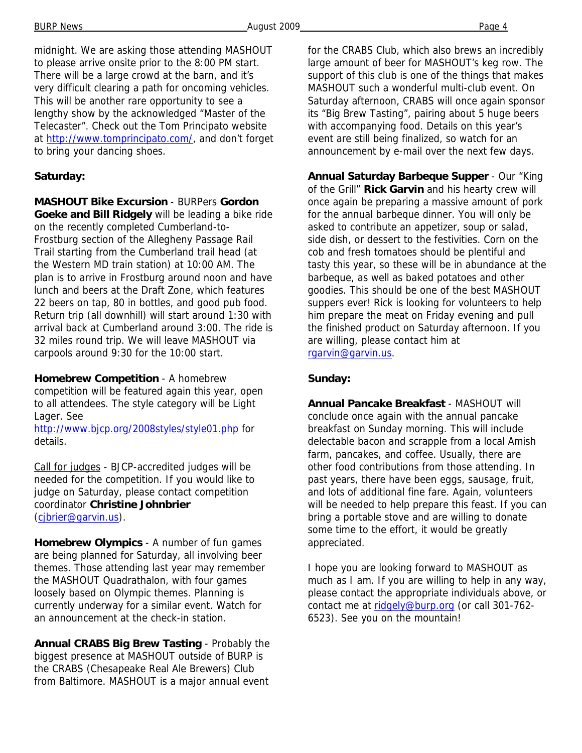BURP News Page 4

midnight. We are asking those attending MASHOUT to please arrive onsite prior to the 8:00 PM start. There will be a large crowd at the barn, and it's very difficult clearing a path for oncoming vehicles. This will be another rare opportunity to see a lengthy show by the acknowledged "Master of the Telecaster". Check out the Tom Principato website at http://www.tomprincipato.com/, and don't forget to bring your dancing shoes.

### **Saturday:**

**MASHOUT Bike Excursion** - BURPers **Gordon Goeke and Bill Ridgely** will be leading a bike ride on the recently completed Cumberland-to-Frostburg section of the Allegheny Passage Rail Trail starting from the Cumberland trail head (at the Western MD train station) at 10:00 AM. The plan is to arrive in Frostburg around noon and have lunch and beers at the Draft Zone, which features 22 beers on tap, 80 in bottles, and good pub food. Return trip (all downhill) will start around 1:30 with arrival back at Cumberland around 3:00. The ride is 32 miles round trip. We will leave MASHOUT via carpools around 9:30 for the 10:00 start.

**Homebrew Competition** - A homebrew competition will be featured again this year, open to all attendees. The style category will be Light Lager. See

http://www.bjcp.org/2008styles/style01.php for details.

Call for judges - BJCP-accredited judges will be needed for the competition. If you would like to judge on Saturday, please contact competition coordinator **Christine Johnbrier** (cjbrier@garvin.us).

**Homebrew Olympics** - A number of fun games are being planned for Saturday, all involving beer themes. Those attending last year may remember the MASHOUT Quadrathalon, with four games loosely based on Olympic themes. Planning is currently underway for a similar event. Watch for an announcement at the check-in station.

**Annual CRABS Big Brew Tasting** - Probably the biggest presence at MASHOUT outside of BURP is the CRABS (Chesapeake Real Ale Brewers) Club from Baltimore. MASHOUT is a major annual event for the CRABS Club, which also brews an incredibly large amount of beer for MASHOUT's keg row. The support of this club is one of the things that makes MASHOUT such a wonderful multi-club event. On Saturday afternoon, CRABS will once again sponsor its "Big Brew Tasting", pairing about 5 huge beers with accompanying food. Details on this year's event are still being finalized, so watch for an announcement by e-mail over the next few days.

**Annual Saturday Barbeque Supper** - Our "King of the Grill" **Rick Garvin** and his hearty crew will once again be preparing a massive amount of pork for the annual barbeque dinner. You will only be asked to contribute an appetizer, soup or salad, side dish, or dessert to the festivities. Corn on the cob and fresh tomatoes should be plentiful and tasty this year, so these will be in abundance at the barbeque, as well as baked potatoes and other goodies. This should be one of the best MASHOUT suppers ever! Rick is looking for volunteers to help him prepare the meat on Friday evening and pull the finished product on Saturday afternoon. If you are willing, please contact him at rgarvin@garvin.us.

### **Sunday:**

**Annual Pancake Breakfast** - MASHOUT will conclude once again with the annual pancake breakfast on Sunday morning. This will include delectable bacon and scrapple from a local Amish farm, pancakes, and coffee. Usually, there are other food contributions from those attending. In past years, there have been eggs, sausage, fruit, and lots of additional fine fare. Again, volunteers will be needed to help prepare this feast. If you can bring a portable stove and are willing to donate some time to the effort, it would be greatly appreciated.

I hope you are looking forward to MASHOUT as much as I am. If you are willing to help in any way, please contact the appropriate individuals above, or contact me at ridgely@burp.org (or call 301-762-6523). See you on the mountain!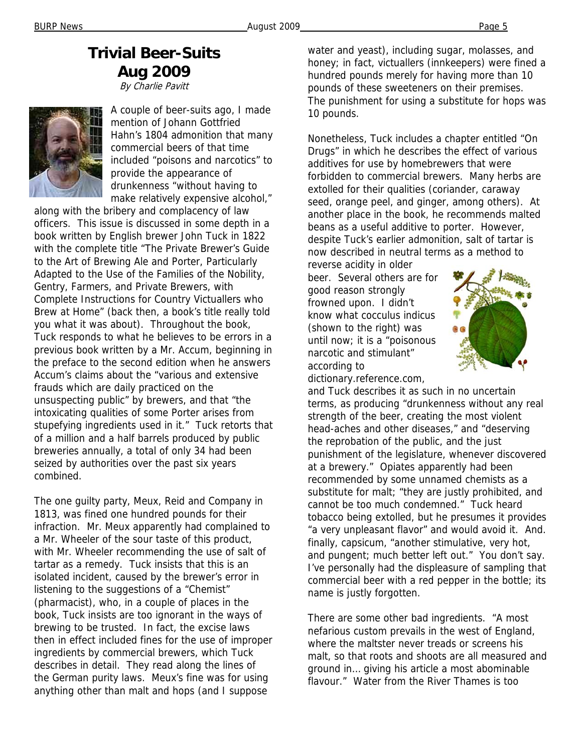### **Trivial Beer-Suits Aug 2009** By Charlie Pavitt



A couple of beer-suits ago, I made mention of Johann Gottfried Hahn's 1804 admonition that many commercial beers of that time included "poisons and narcotics" to provide the appearance of drunkenness "without having to make relatively expensive alcohol,"

along with the bribery and complacency of law officers. This issue is discussed in some depth in a book written by English brewer John Tuck in 1822 with the complete title "The Private Brewer's Guide to the Art of Brewing Ale and Porter, Particularly Adapted to the Use of the Families of the Nobility, Gentry, Farmers, and Private Brewers, with Complete Instructions for Country Victuallers who Brew at Home" (back then, a book's title really told you what it was about). Throughout the book, Tuck responds to what he believes to be errors in a previous book written by a Mr. Accum, beginning in the preface to the second edition when he answers Accum's claims about the "various and extensive frauds which are daily practiced on the unsuspecting public" by brewers, and that "the intoxicating qualities of some Porter arises from stupefying ingredients used in it." Tuck retorts that of a million and a half barrels produced by public breweries annually, a total of only 34 had been seized by authorities over the past six years combined.

The one guilty party, Meux, Reid and Company in 1813, was fined one hundred pounds for their infraction. Mr. Meux apparently had complained to a Mr. Wheeler of the sour taste of this product, with Mr. Wheeler recommending the use of salt of tartar as a remedy. Tuck insists that this is an isolated incident, caused by the brewer's error in listening to the suggestions of a "Chemist" (pharmacist), who, in a couple of places in the book, Tuck insists are too ignorant in the ways of brewing to be trusted. In fact, the excise laws then in effect included fines for the use of improper ingredients by commercial brewers, which Tuck describes in detail. They read along the lines of the German purity laws. Meux's fine was for using anything other than malt and hops (and I suppose

water and yeast), including sugar, molasses, and honey; in fact, victuallers (innkeepers) were fined a hundred pounds merely for having more than 10 pounds of these sweeteners on their premises. The punishment for using a substitute for hops was 10 pounds.

Nonetheless, Tuck includes a chapter entitled "On Drugs" in which he describes the effect of various additives for use by homebrewers that were forbidden to commercial brewers. Many herbs are extolled for their qualities (coriander, caraway seed, orange peel, and ginger, among others). At another place in the book, he recommends malted beans as a useful additive to porter. However, despite Tuck's earlier admonition, salt of tartar is now described in neutral terms as a method to

reverse acidity in older beer. Several others are for good reason strongly frowned upon. I didn't know what cocculus indicus (shown to the right) was until now; it is a "poisonous narcotic and stimulant" according to dictionary.reference.com,



and Tuck describes it as such in no uncertain terms, as producing "drunkenness without any real strength of the beer, creating the most violent head-aches and other diseases," and "deserving the reprobation of the public, and the just punishment of the legislature, whenever discovered at a brewery." Opiates apparently had been recommended by some unnamed chemists as a substitute for malt; "they are justly prohibited, and cannot be too much condemned." Tuck heard tobacco being extolled, but he presumes it provides "a very unpleasant flavor" and would avoid it. And. finally, capsicum, "another stimulative, very hot, and pungent; much better left out." You don't say. I've personally had the displeasure of sampling that commercial beer with a red pepper in the bottle; its name is justly forgotten.

There are some other bad ingredients. "A most nefarious custom prevails in the west of England, where the maltster never treads or screens his malt, so that roots and shoots are all measured and ground in… giving his article a most abominable flavour." Water from the River Thames is too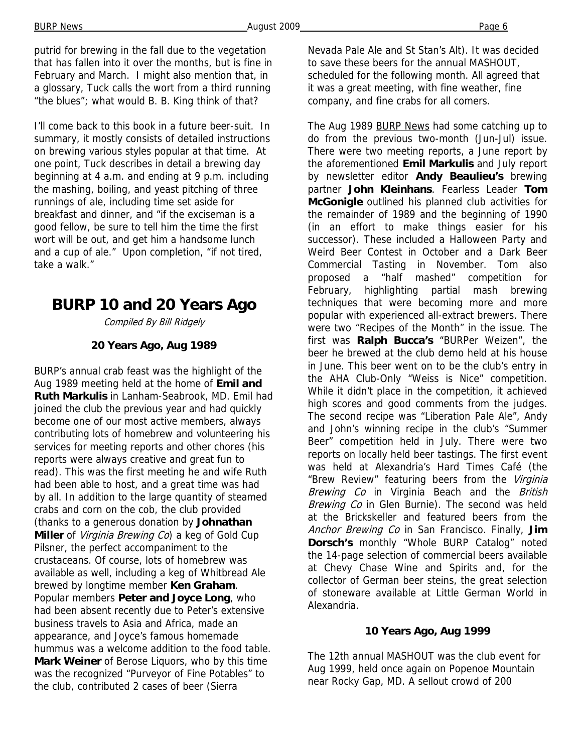putrid for brewing in the fall due to the vegetation that has fallen into it over the months, but is fine in February and March. I might also mention that, in a glossary, Tuck calls the wort from a third running "the blues"; what would B. B. King think of that?

I'll come back to this book in a future beer-suit. In summary, it mostly consists of detailed instructions on brewing various styles popular at that time. At one point, Tuck describes in detail a brewing day beginning at 4 a.m. and ending at 9 p.m. including the mashing, boiling, and yeast pitching of three runnings of ale, including time set aside for breakfast and dinner, and "if the exciseman is a good fellow, be sure to tell him the time the first wort will be out, and get him a handsome lunch and a cup of ale." Upon completion, "if not tired, take a walk."

# **BURP 10 and 20 Years Ago**

Compiled By Bill Ridgely

### **20 Years Ago, Aug 1989**

BURP's annual crab feast was the highlight of the Aug 1989 meeting held at the home of **Emil and Ruth Markulis** in Lanham-Seabrook, MD. Emil had joined the club the previous year and had quickly become one of our most active members, always contributing lots of homebrew and volunteering his services for meeting reports and other chores (his reports were always creative and great fun to read). This was the first meeting he and wife Ruth had been able to host, and a great time was had by all. In addition to the large quantity of steamed crabs and corn on the cob, the club provided (thanks to a generous donation by **Johnathan Miller** of Virginia Brewing Co) a keg of Gold Cup Pilsner, the perfect accompaniment to the crustaceans. Of course, lots of homebrew was available as well, including a keg of Whitbread Ale brewed by longtime member **Ken Graham**. Popular members **Peter and Joyce Long**, who had been absent recently due to Peter's extensive business travels to Asia and Africa, made an appearance, and Joyce's famous homemade hummus was a welcome addition to the food table. **Mark Weiner** of Berose Liquors, who by this time was the recognized "Purveyor of Fine Potables" to the club, contributed 2 cases of beer (Sierra

Nevada Pale Ale and St Stan's Alt). It was decided to save these beers for the annual MASHOUT, scheduled for the following month. All agreed that it was a great meeting, with fine weather, fine company, and fine crabs for all comers.

The Aug 1989 BURP News had some catching up to do from the previous two-month (Jun-Jul) issue. There were two meeting reports, a June report by the aforementioned **Emil Markulis** and July report by newsletter editor **Andy Beaulieu's** brewing partner **John Kleinhans**. Fearless Leader **Tom McGonigle** outlined his planned club activities for the remainder of 1989 and the beginning of 1990 (in an effort to make things easier for his successor). These included a Halloween Party and Weird Beer Contest in October and a Dark Beer Commercial Tasting in November. Tom also proposed a "half mashed" competition for February, highlighting partial mash brewing techniques that were becoming more and more popular with experienced all-extract brewers. There were two "Recipes of the Month" in the issue. The first was **Ralph Bucca's** "BURPer Weizen", the beer he brewed at the club demo held at his house in June. This beer went on to be the club's entry in the AHA Club-Only "Weiss is Nice" competition. While it didn't place in the competition, it achieved high scores and good comments from the judges. The second recipe was "Liberation Pale Ale", Andy and John's winning recipe in the club's "Summer Beer" competition held in July. There were two reports on locally held beer tastings. The first event was held at Alexandria's Hard Times Café (the "Brew Review" featuring beers from the Virginia Brewing Co in Virginia Beach and the British Brewing Co in Glen Burnie). The second was held at the Brickskeller and featured beers from the Anchor Brewing Co in San Francisco. Finally, **Jim Dorsch's** monthly "Whole BURP Catalog" noted the 14-page selection of commercial beers available at Chevy Chase Wine and Spirits and, for the collector of German beer steins, the great selection of stoneware available at Little German World in Alexandria.

### **10 Years Ago, Aug 1999**

The 12th annual MASHOUT was the club event for Aug 1999, held once again on Popenoe Mountain near Rocky Gap, MD. A sellout crowd of 200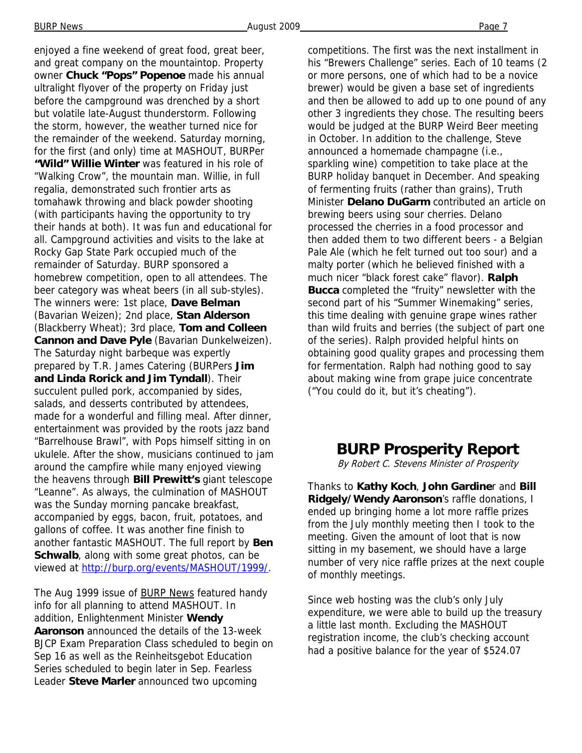enjoyed a fine weekend of great food, great beer, and great company on the mountaintop. Property owner **Chuck "Pops" Popenoe** made his annual ultralight flyover of the property on Friday just before the campground was drenched by a short but volatile late-August thunderstorm. Following the storm, however, the weather turned nice for the remainder of the weekend. Saturday morning, for the first (and only) time at MASHOUT, BURPer **"Wild" Willie Winter** was featured in his role of "Walking Crow", the mountain man. Willie, in full regalia, demonstrated such frontier arts as tomahawk throwing and black powder shooting (with participants having the opportunity to try their hands at both). It was fun and educational for all. Campground activities and visits to the lake at Rocky Gap State Park occupied much of the remainder of Saturday. BURP sponsored a homebrew competition, open to all attendees. The beer category was wheat beers (in all sub-styles). The winners were: 1st place, **Dave Belman**  (Bavarian Weizen); 2nd place, **Stan Alderson**  (Blackberry Wheat); 3rd place, **Tom and Colleen Cannon and Dave Pyle** (Bavarian Dunkelweizen). The Saturday night barbeque was expertly prepared by T.R. James Catering (BURPers **Jim and Linda Rorick and Jim Tyndall**). Their succulent pulled pork, accompanied by sides, salads, and desserts contributed by attendees, made for a wonderful and filling meal. After dinner, entertainment was provided by the roots jazz band "Barrelhouse Brawl", with Pops himself sitting in on ukulele. After the show, musicians continued to jam around the campfire while many enjoyed viewing the heavens through **Bill Prewitt's** giant telescope "Leanne". As always, the culmination of MASHOUT was the Sunday morning pancake breakfast, accompanied by eggs, bacon, fruit, potatoes, and gallons of coffee. It was another fine finish to another fantastic MASHOUT. The full report by **Ben Schwalb**, along with some great photos, can be viewed at http://burp.org/events/MASHOUT/1999/.

The Aug 1999 issue of **BURP News** featured handy info for all planning to attend MASHOUT. In addition, Enlightenment Minister **Wendy Aaronson** announced the details of the 13-week BJCP Exam Preparation Class scheduled to begin on Sep 16 as well as the Reinheitsgebot Education Series scheduled to begin later in Sep. Fearless Leader **Steve Marler** announced two upcoming

competitions. The first was the next installment in his "Brewers Challenge" series. Each of 10 teams (2 or more persons, one of which had to be a novice brewer) would be given a base set of ingredients and then be allowed to add up to one pound of any other 3 ingredients they chose. The resulting beers would be judged at the BURP Weird Beer meeting in October. In addition to the challenge, Steve announced a homemade champagne (i.e., sparkling wine) competition to take place at the BURP holiday banquet in December. And speaking of fermenting fruits (rather than grains), Truth Minister **Delano DuGarm** contributed an article on brewing beers using sour cherries. Delano processed the cherries in a food processor and then added them to two different beers - a Belgian Pale Ale (which he felt turned out too sour) and a malty porter (which he believed finished with a much nicer "black forest cake" flavor). **Ralph Bucca** completed the "fruity" newsletter with the second part of his "Summer Winemaking" series, this time dealing with genuine grape wines rather than wild fruits and berries (the subject of part one of the series). Ralph provided helpful hints on obtaining good quality grapes and processing them for fermentation. Ralph had nothing good to say about making wine from grape juice concentrate ("You could do it, but it's cheating").

### **BURP Prosperity Report**

By Robert C. Stevens Minister of Prosperity

Thanks to **Kathy Koch**, **John Gardine**r and **Bill Ridgely/Wendy Aaronson**'s raffle donations, I ended up bringing home a lot more raffle prizes from the July monthly meeting then I took to the meeting. Given the amount of loot that is now sitting in my basement, we should have a large number of very nice raffle prizes at the next couple of monthly meetings.

Since web hosting was the club's only July expenditure, we were able to build up the treasury a little last month. Excluding the MASHOUT registration income, the club's checking account had a positive balance for the year of \$524.07